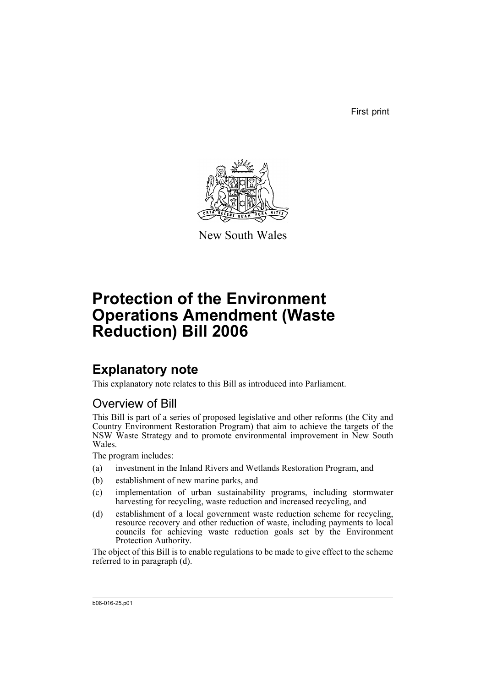First print



New South Wales

# **Protection of the Environment Operations Amendment (Waste Reduction) Bill 2006**

## **Explanatory note**

This explanatory note relates to this Bill as introduced into Parliament.

### Overview of Bill

This Bill is part of a series of proposed legislative and other reforms (the City and Country Environment Restoration Program) that aim to achieve the targets of the NSW Waste Strategy and to promote environmental improvement in New South **Wales**.

The program includes:

- (a) investment in the Inland Rivers and Wetlands Restoration Program, and
- (b) establishment of new marine parks, and
- (c) implementation of urban sustainability programs, including stormwater harvesting for recycling, waste reduction and increased recycling, and
- (d) establishment of a local government waste reduction scheme for recycling, resource recovery and other reduction of waste, including payments to local councils for achieving waste reduction goals set by the Environment Protection Authority.

The object of this Bill is to enable regulations to be made to give effect to the scheme referred to in paragraph (d).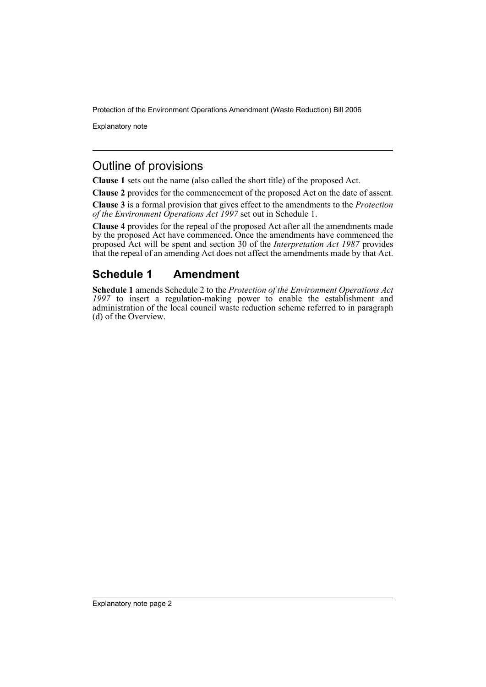Protection of the Environment Operations Amendment (Waste Reduction) Bill 2006

Explanatory note

#### Outline of provisions

**Clause 1** sets out the name (also called the short title) of the proposed Act.

**Clause 2** provides for the commencement of the proposed Act on the date of assent.

**Clause 3** is a formal provision that gives effect to the amendments to the *Protection of the Environment Operations Act 1997* set out in Schedule 1.

**Clause 4** provides for the repeal of the proposed Act after all the amendments made by the proposed Act have commenced. Once the amendments have commenced the proposed Act will be spent and section 30 of the *Interpretation Act 1987* provides that the repeal of an amending Act does not affect the amendments made by that Act.

#### **Schedule 1 Amendment**

**Schedule 1** amends Schedule 2 to the *Protection of the Environment Operations Act 1997* to insert a regulation-making power to enable the establishment and administration of the local council waste reduction scheme referred to in paragraph (d) of the Overview.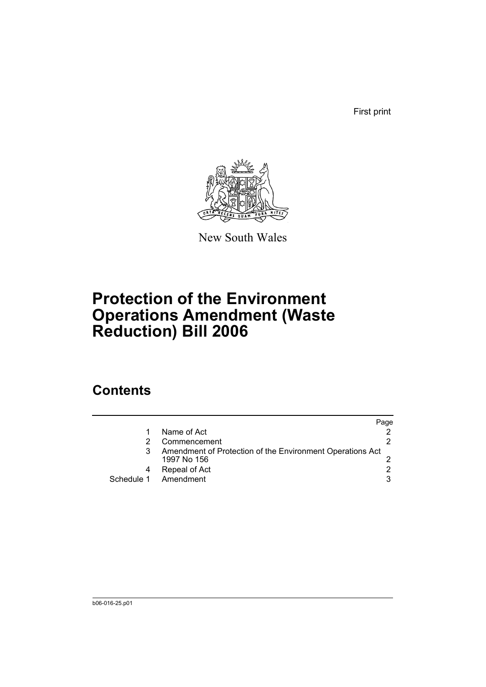First print



New South Wales

# **Protection of the Environment Operations Amendment (Waste Reduction) Bill 2006**

## **Contents**

|            |                                                                          | Page |
|------------|--------------------------------------------------------------------------|------|
|            | Name of Act                                                              |      |
|            | Commencement                                                             |      |
|            | Amendment of Protection of the Environment Operations Act<br>1997 No 156 |      |
|            | Repeal of Act                                                            |      |
| Schedule 1 | Amendment                                                                | 3    |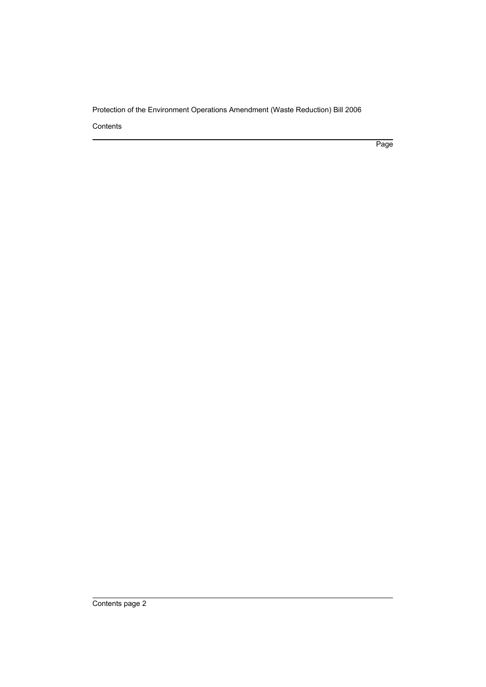Protection of the Environment Operations Amendment (Waste Reduction) Bill 2006 Contents

Page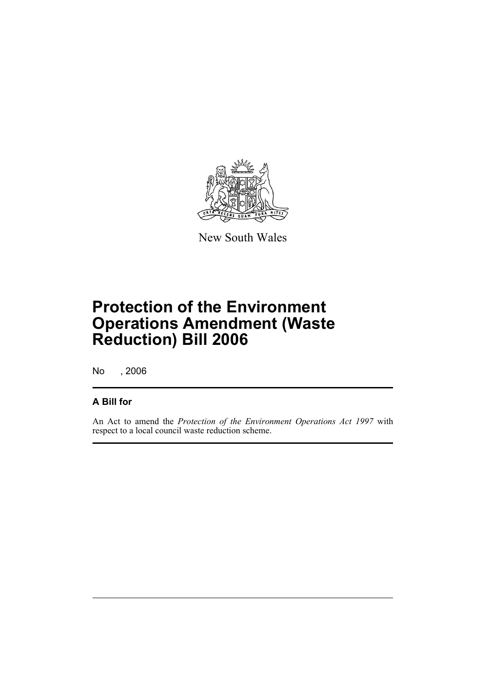

New South Wales

# **Protection of the Environment Operations Amendment (Waste Reduction) Bill 2006**

No , 2006

#### **A Bill for**

An Act to amend the *Protection of the Environment Operations Act 1997* with respect to a local council waste reduction scheme.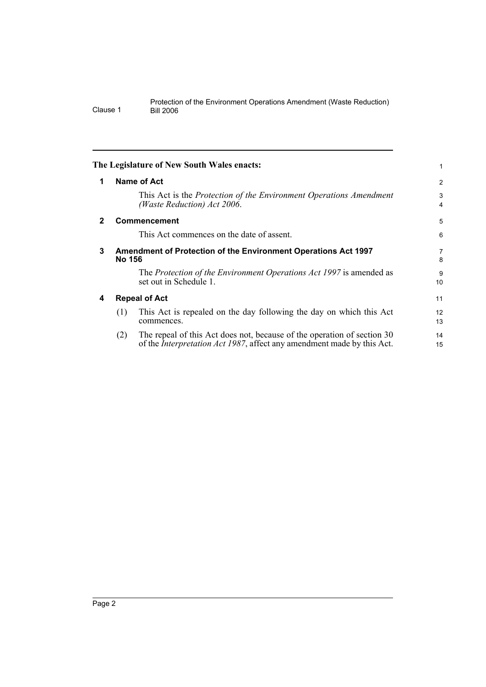<span id="page-5-3"></span><span id="page-5-2"></span><span id="page-5-1"></span><span id="page-5-0"></span>

|              | The Legislature of New South Wales enacts:                                                                                                                       | 1              |
|--------------|------------------------------------------------------------------------------------------------------------------------------------------------------------------|----------------|
| 1            | <b>Name of Act</b>                                                                                                                                               | $\overline{2}$ |
|              | This Act is the <i>Protection of the Environment Operations Amendment</i><br>(Waste Reduction) Act 2006.                                                         | 3<br>4         |
| $\mathbf{2}$ | <b>Commencement</b>                                                                                                                                              | 5              |
|              | This Act commences on the date of assent.                                                                                                                        | 6              |
| 3            | Amendment of Protection of the Environment Operations Act 1997<br><b>No 156</b>                                                                                  |                |
|              | The Protection of the Environment Operations Act 1997 is amended as<br>set out in Schedule 1.                                                                    | 9<br>10        |
| 4            | <b>Repeal of Act</b>                                                                                                                                             | 11             |
|              | This Act is repealed on the day following the day on which this Act<br>(1)<br>commences.                                                                         | 12<br>13       |
|              | The repeal of this Act does not, because of the operation of section 30<br>(2)<br>of the <i>Interpretation Act 1987</i> , affect any amendment made by this Act. | 14<br>15       |